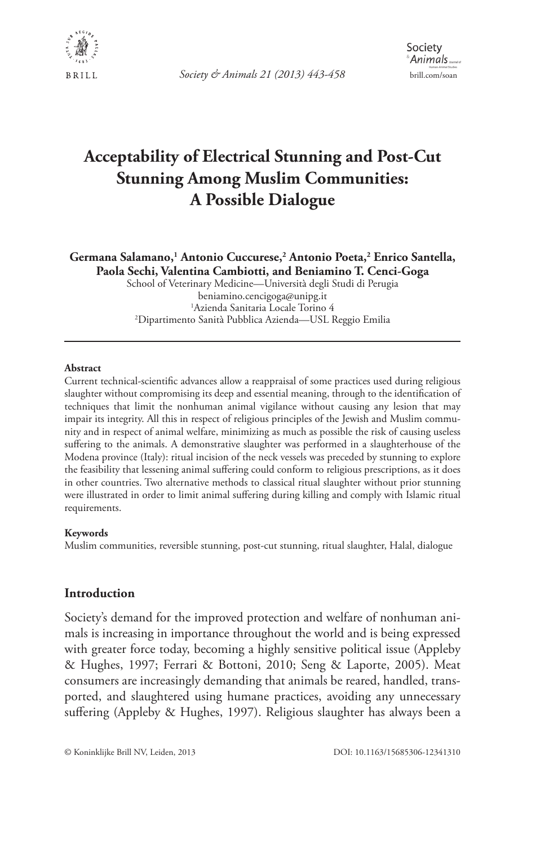

*Society & Animals 21 (2013) 443-458* brill.com/soan

Society <sup>®</sup>Animals

# **Acceptability of Electrical Stunning and Post-Cut Stunning Among Muslim Communities: A Possible Dialogue**

Germana Salamano,<sup>1</sup> Antonio Cuccurese,<sup>2</sup> Antonio Poeta,<sup>2</sup> Enrico Santella, **Paola Sechi, Valentina Cambiotti, and Beniamino T. Cenci-Goga**

> School of Veterinary Medicine—Università degli Studi di Perugia beniamino.cencigoga@unipg.it 1 Azienda Sanitaria Locale Torino 4 2 Dipartimento Sanità Pubblica Azienda—USL Reggio Emilia

#### **Abstract**

Current technical-scientific advances allow a reappraisal of some practices used during religious slaughter without compromising its deep and essential meaning, through to the identification of techniques that limit the nonhuman animal vigilance without causing any lesion that may impair its integrity. All this in respect of religious principles of the Jewish and Muslim community and in respect of animal welfare, minimizing as much as possible the risk of causing useless suffering to the animals. A demonstrative slaughter was performed in a slaughterhouse of the Modena province (Italy): ritual incision of the neck vessels was preceded by stunning to explore the feasibility that lessening animal suffering could conform to religious prescriptions, as it does in other countries. Two alternative methods to classical ritual slaughter without prior stunning were illustrated in order to limit animal suffering during killing and comply with Islamic ritual requirements.

#### **Keywords**

Muslim communities, reversible stunning, post-cut stunning, ritual slaughter, Halal, dialogue

# **Introduction**

Society's demand for the improved protection and welfare of nonhuman animals is increasing in importance throughout the world and is being expressed with greater force today, becoming a highly sensitive political issue (Appleby & Hughes, 1997; Ferrari & Bottoni, 2010; Seng & Laporte, 2005). Meat consumers are increasingly demanding that animals be reared, handled, transported, and slaughtered using humane practices, avoiding any unnecessary suffering (Appleby & Hughes, 1997). Religious slaughter has always been a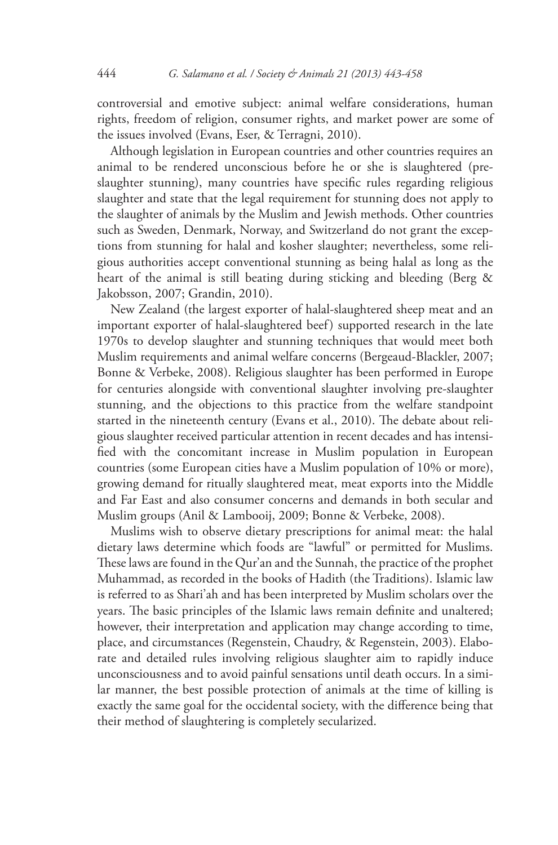controversial and emotive subject: animal welfare considerations, human rights, freedom of religion, consumer rights, and market power are some of the issues involved (Evans, Eser, & Terragni, 2010).

Although legislation in European countries and other countries requires an animal to be rendered unconscious before he or she is slaughtered (preslaughter stunning), many countries have specific rules regarding religious slaughter and state that the legal requirement for stunning does not apply to the slaughter of animals by the Muslim and Jewish methods. Other countries such as Sweden, Denmark, Norway, and Switzerland do not grant the exceptions from stunning for halal and kosher slaughter; nevertheless, some religious authorities accept conventional stunning as being halal as long as the heart of the animal is still beating during sticking and bleeding (Berg & Jakobsson, 2007; Grandin, 2010).

New Zealand (the largest exporter of halal-slaughtered sheep meat and an important exporter of halal-slaughtered beef) supported research in the late 1970s to develop slaughter and stunning techniques that would meet both Muslim requirements and animal welfare concerns (Bergeaud-Blackler, 2007; Bonne & Verbeke, 2008). Religious slaughter has been performed in Europe for centuries alongside with conventional slaughter involving pre-slaughter stunning, and the objections to this practice from the welfare standpoint started in the nineteenth century (Evans et al., 2010). The debate about religious slaughter received particular attention in recent decades and has intensified with the concomitant increase in Muslim population in European countries (some European cities have a Muslim population of 10% or more), growing demand for ritually slaughtered meat, meat exports into the Middle and Far East and also consumer concerns and demands in both secular and Muslim groups (Anil & Lambooij, 2009; Bonne & Verbeke, 2008).

Muslims wish to observe dietary prescriptions for animal meat: the halal dietary laws determine which foods are "lawful" or permitted for Muslims. These laws are found in the Qur'an and the Sunnah, the practice of the prophet Muhammad, as recorded in the books of Hadith (the Traditions). Islamic law is referred to as Shari'ah and has been interpreted by Muslim scholars over the years. The basic principles of the Islamic laws remain definite and unaltered; however, their interpretation and application may change according to time, place, and circumstances (Regenstein, Chaudry, & Regenstein, 2003). Elaborate and detailed rules involving religious slaughter aim to rapidly induce unconsciousness and to avoid painful sensations until death occurs. In a similar manner, the best possible protection of animals at the time of killing is exactly the same goal for the occidental society, with the difference being that their method of slaughtering is completely secularized.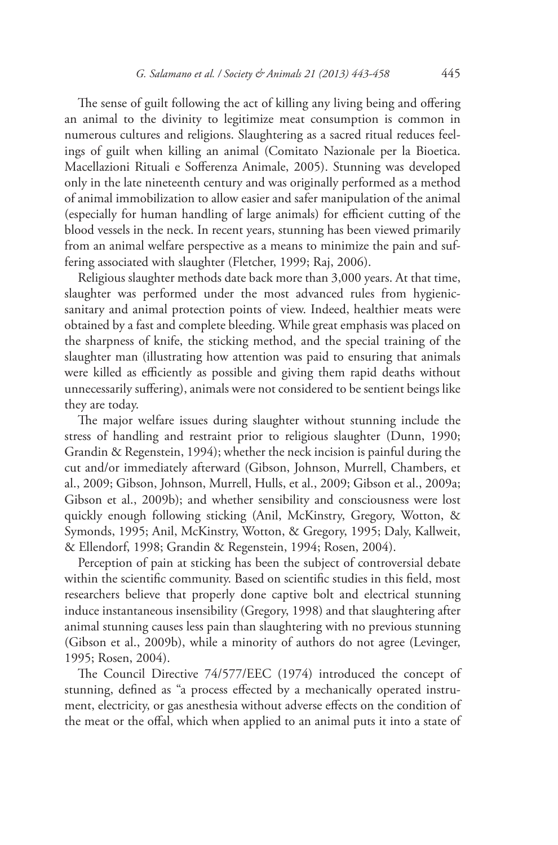The sense of guilt following the act of killing any living being and offering an animal to the divinity to legitimize meat consumption is common in numerous cultures and religions. Slaughtering as a sacred ritual reduces feelings of guilt when killing an animal (Comitato Nazionale per la Bioetica. Macellazioni Rituali e Sofferenza Animale, 2005). Stunning was developed only in the late nineteenth century and was originally performed as a method of animal immobilization to allow easier and safer manipulation of the animal (especially for human handling of large animals) for efficient cutting of the blood vessels in the neck. In recent years, stunning has been viewed primarily from an animal welfare perspective as a means to minimize the pain and suffering associated with slaughter (Fletcher, 1999; Raj, 2006).

Religious slaughter methods date back more than 3,000 years. At that time, slaughter was performed under the most advanced rules from hygienicsanitary and animal protection points of view. Indeed, healthier meats were obtained by a fast and complete bleeding. While great emphasis was placed on the sharpness of knife, the sticking method, and the special training of the slaughter man (illustrating how attention was paid to ensuring that animals were killed as efficiently as possible and giving them rapid deaths without unnecessarily suffering), animals were not considered to be sentient beings like they are today.

The major welfare issues during slaughter without stunning include the stress of handling and restraint prior to religious slaughter (Dunn, 1990; Grandin & Regenstein, 1994); whether the neck incision is painful during the cut and/or immediately afterward (Gibson, Johnson, Murrell, Chambers, et al., 2009; Gibson, Johnson, Murrell, Hulls, et al., 2009; Gibson et al., 2009a; Gibson et al., 2009b); and whether sensibility and consciousness were lost quickly enough following sticking (Anil, McKinstry, Gregory, Wotton, & Symonds, 1995; Anil, McKinstry, Wotton, & Gregory, 1995; Daly, Kallweit, & Ellendorf, 1998; Grandin & Regenstein, 1994; Rosen, 2004).

Perception of pain at sticking has been the subject of controversial debate within the scientific community. Based on scientific studies in this field, most researchers believe that properly done captive bolt and electrical stunning induce instantaneous insensibility (Gregory, 1998) and that slaughtering after animal stunning causes less pain than slaughtering with no previous stunning (Gibson et al., 2009b), while a minority of authors do not agree (Levinger, 1995; Rosen, 2004).

The Council Directive 74/577/EEC (1974) introduced the concept of stunning, defined as "a process effected by a mechanically operated instrument, electricity, or gas anesthesia without adverse effects on the condition of the meat or the offal, which when applied to an animal puts it into a state of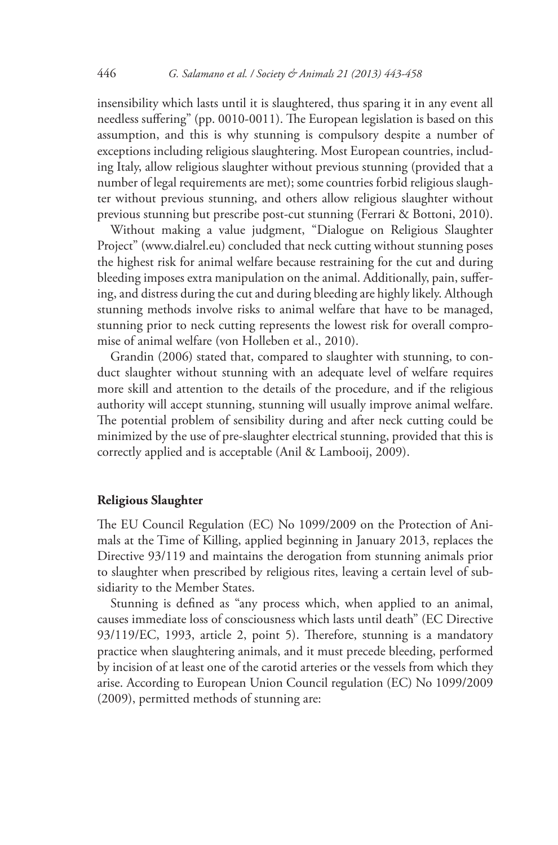insensibility which lasts until it is slaughtered, thus sparing it in any event all needless suffering" (pp. 0010-0011). The European legislation is based on this assumption, and this is why stunning is compulsory despite a number of exceptions including religious slaughtering. Most European countries, including Italy, allow religious slaughter without previous stunning (provided that a number of legal requirements are met); some countries forbid religious slaughter without previous stunning, and others allow religious slaughter without previous stunning but prescribe post-cut stunning (Ferrari & Bottoni, 2010).

Without making a value judgment, "Dialogue on Religious Slaughter Project" (www.dialrel.eu) concluded that neck cutting without stunning poses the highest risk for animal welfare because restraining for the cut and during bleeding imposes extra manipulation on the animal. Additionally, pain, suffering, and distress during the cut and during bleeding are highly likely. Although stunning methods involve risks to animal welfare that have to be managed, stunning prior to neck cutting represents the lowest risk for overall compromise of animal welfare (von Holleben et al., 2010).

Grandin (2006) stated that, compared to slaughter with stunning, to conduct slaughter without stunning with an adequate level of welfare requires more skill and attention to the details of the procedure, and if the religious authority will accept stunning, stunning will usually improve animal welfare. The potential problem of sensibility during and after neck cutting could be minimized by the use of pre-slaughter electrical stunning, provided that this is correctly applied and is acceptable (Anil & Lambooij, 2009).

#### **Religious Slaughter**

The EU Council Regulation (EC) No 1099/2009 on the Protection of Animals at the Time of Killing, applied beginning in January 2013, replaces the Directive 93/119 and maintains the derogation from stunning animals prior to slaughter when prescribed by religious rites, leaving a certain level of subsidiarity to the Member States.

Stunning is defined as "any process which, when applied to an animal, causes immediate loss of consciousness which lasts until death" (EC Directive 93/119/EC, 1993, article 2, point 5). Therefore, stunning is a mandatory practice when slaughtering animals, and it must precede bleeding, performed by incision of at least one of the carotid arteries or the vessels from which they arise. According to European Union Council regulation (EC) No 1099/2009 (2009), permitted methods of stunning are: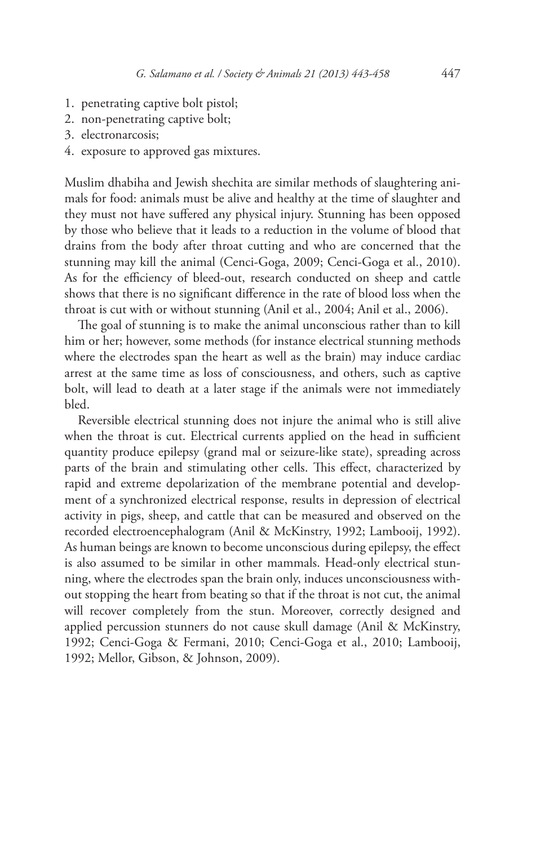- 1. penetrating captive bolt pistol;
- 2. non-penetrating captive bolt;
- 3. electronarcosis;
- 4. exposure to approved gas mixtures.

Muslim dhabiha and Jewish shechita are similar methods of slaughtering animals for food: animals must be alive and healthy at the time of slaughter and they must not have suffered any physical injury. Stunning has been opposed by those who believe that it leads to a reduction in the volume of blood that drains from the body after throat cutting and who are concerned that the stunning may kill the animal (Cenci-Goga, 2009; Cenci-Goga et al., 2010). As for the efficiency of bleed-out, research conducted on sheep and cattle shows that there is no significant difference in the rate of blood loss when the throat is cut with or without stunning (Anil et al., 2004; Anil et al., 2006).

The goal of stunning is to make the animal unconscious rather than to kill him or her; however, some methods (for instance electrical stunning methods where the electrodes span the heart as well as the brain) may induce cardiac arrest at the same time as loss of consciousness, and others, such as captive bolt, will lead to death at a later stage if the animals were not immediately bled.

Reversible electrical stunning does not injure the animal who is still alive when the throat is cut. Electrical currents applied on the head in sufficient quantity produce epilepsy (grand mal or seizure-like state), spreading across parts of the brain and stimulating other cells. This effect, characterized by rapid and extreme depolarization of the membrane potential and development of a synchronized electrical response, results in depression of electrical activity in pigs, sheep, and cattle that can be measured and observed on the recorded electroencephalogram (Anil & McKinstry, 1992; Lambooij, 1992). As human beings are known to become unconscious during epilepsy, the effect is also assumed to be similar in other mammals. Head-only electrical stunning, where the electrodes span the brain only, induces unconsciousness without stopping the heart from beating so that if the throat is not cut, the animal will recover completely from the stun. Moreover, correctly designed and applied percussion stunners do not cause skull damage (Anil & McKinstry, 1992; Cenci-Goga & Fermani, 2010; Cenci-Goga et al., 2010; Lambooij, 1992; Mellor, Gibson, & Johnson, 2009).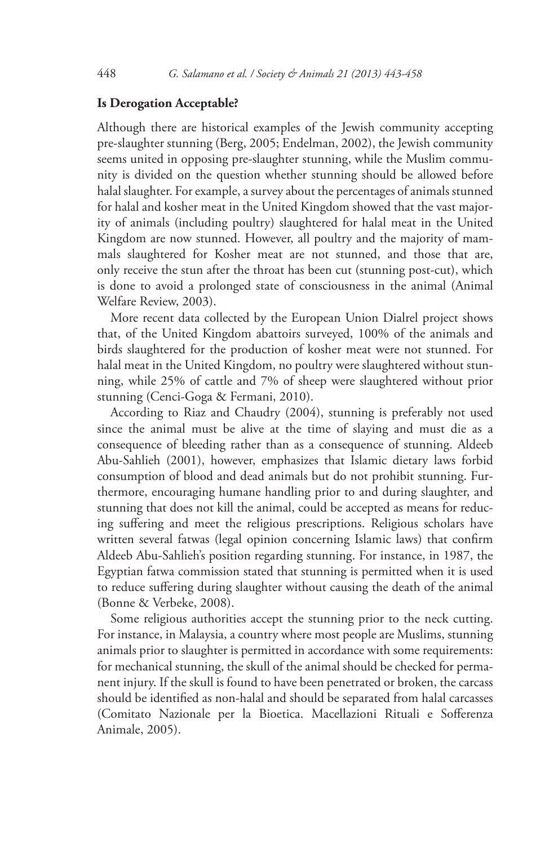#### **Is Derogation Acceptable?**

Although there are historical examples of the Jewish community accepting pre-slaughter stunning (Berg, 2005; Endelman, 2002), the Jewish community seems united in opposing pre-slaughter stunning, while the Muslim community is divided on the question whether stunning should be allowed before halal slaughter. For example, a survey about the percentages of animals stunned for halal and kosher meat in the United Kingdom showed that the vast majority of animals (including poultry) slaughtered for halal meat in the United Kingdom are now stunned. However, all poultry and the majority of mammals slaughtered for Kosher meat are not stunned, and those that are, only receive the stun after the throat has been cut (stunning post-cut), which is done to avoid a prolonged state of consciousness in the animal (Animal Welfare Review, 2003).

More recent data collected by the European Union Dialrel project shows that, of the United Kingdom abattoirs surveyed, 100% of the animals and birds slaughtered for the production of kosher meat were not stunned. For halal meat in the United Kingdom, no poultry were slaughtered without stunning, while 25% of cattle and 7% of sheep were slaughtered without prior stunning (Cenci-Goga & Fermani, 2010).

According to Riaz and Chaudry (2004), stunning is preferably not used since the animal must be alive at the time of slaying and must die as a consequence of bleeding rather than as a consequence of stunning. Aldeeb Abu-Sahlieh (2001), however, emphasizes that Islamic dietary laws forbid consumption of blood and dead animals but do not prohibit stunning. Furthermore, encouraging humane handling prior to and during slaughter, and stunning that does not kill the animal, could be accepted as means for reducing suffering and meet the religious prescriptions. Religious scholars have written several fatwas (legal opinion concerning Islamic laws) that confirm Aldeeb Abu-Sahlieh's position regarding stunning. For instance, in 1987, the Egyptian fatwa commission stated that stunning is permitted when it is used to reduce suffering during slaughter without causing the death of the animal (Bonne & Verbeke, 2008).

Some religious authorities accept the stunning prior to the neck cutting. For instance, in Malaysia, a country where most people are Muslims, stunning animals prior to slaughter is permitted in accordance with some requirements: for mechanical stunning, the skull of the animal should be checked for permanent injury. If the skull is found to have been penetrated or broken, the carcass should be identified as non-halal and should be separated from halal carcasses (Comitato Nazionale per la Bioetica. Macellazioni Rituali e Sofferenza Animale, 2005).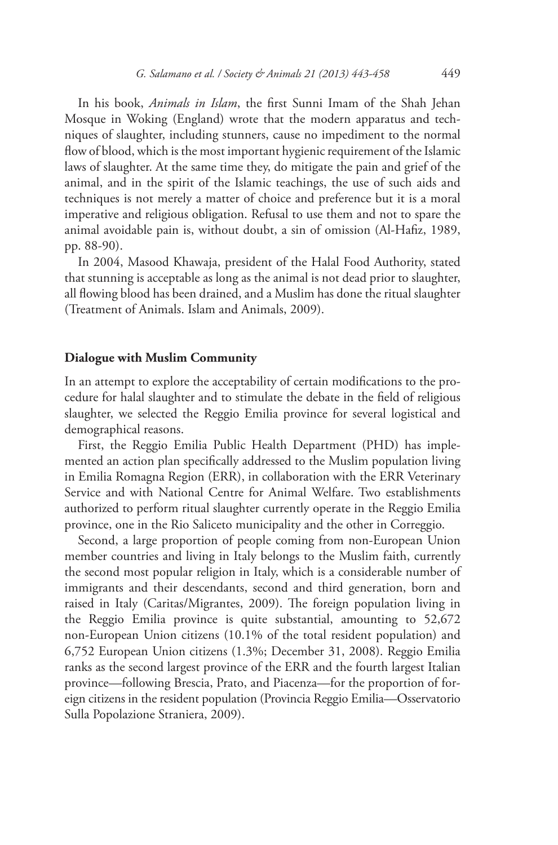In his book, *Animals in Islam*, the first Sunni Imam of the Shah Jehan Mosque in Woking (England) wrote that the modern apparatus and techniques of slaughter, including stunners, cause no impediment to the normal flow of blood, which is the most important hygienic requirement of the Islamic laws of slaughter. At the same time they, do mitigate the pain and grief of the animal, and in the spirit of the Islamic teachings, the use of such aids and techniques is not merely a matter of choice and preference but it is a moral imperative and religious obligation. Refusal to use them and not to spare the animal avoidable pain is, without doubt, a sin of omission (Al-Hafiz, 1989, pp. 88-90).

In 2004, Masood Khawaja, president of the Halal Food Authority, stated that stunning is acceptable as long as the animal is not dead prior to slaughter, all flowing blood has been drained, and a Muslim has done the ritual slaughter (Treatment of Animals. Islam and Animals, 2009).

#### **Dialogue with Muslim Community**

In an attempt to explore the acceptability of certain modifications to the procedure for halal slaughter and to stimulate the debate in the field of religious slaughter, we selected the Reggio Emilia province for several logistical and demographical reasons.

First, the Reggio Emilia Public Health Department (PHD) has implemented an action plan specifically addressed to the Muslim population living in Emilia Romagna Region (ERR), in collaboration with the ERR Veterinary Service and with National Centre for Animal Welfare. Two establishments authorized to perform ritual slaughter currently operate in the Reggio Emilia province, one in the Rio Saliceto municipality and the other in Correggio.

Second, a large proportion of people coming from non-European Union member countries and living in Italy belongs to the Muslim faith, currently the second most popular religion in Italy, which is a considerable number of immigrants and their descendants, second and third generation, born and raised in Italy (Caritas/Migrantes, 2009). The foreign population living in the Reggio Emilia province is quite substantial, amounting to 52,672 non-European Union citizens (10.1% of the total resident population) and 6,752 European Union citizens (1.3%; December 31, 2008). Reggio Emilia ranks as the second largest province of the ERR and the fourth largest Italian province—following Brescia, Prato, and Piacenza—for the proportion of foreign citizens in the resident population (Provincia Reggio Emilia—Osservatorio Sulla Popolazione Straniera, 2009).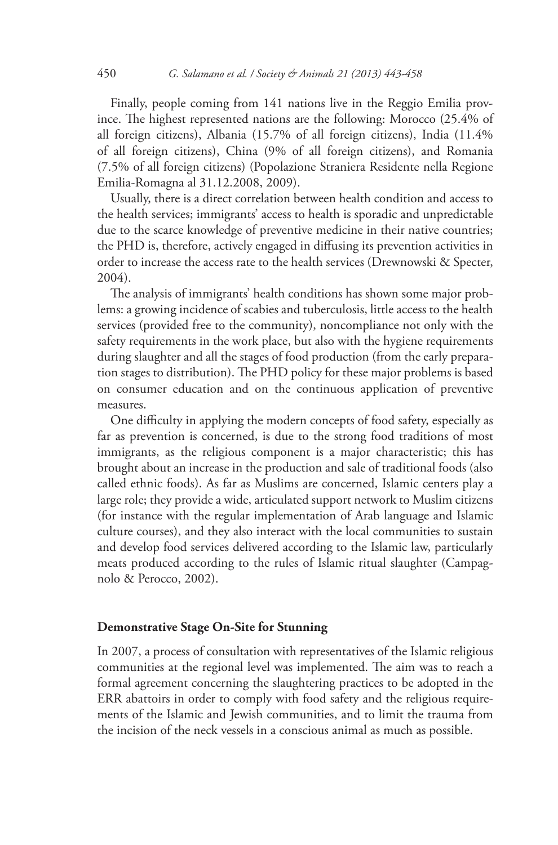Finally, people coming from 141 nations live in the Reggio Emilia province. The highest represented nations are the following: Morocco (25.4% of all foreign citizens), Albania (15.7% of all foreign citizens), India (11.4% of all foreign citizens), China (9% of all foreign citizens), and Romania (7.5% of all foreign citizens) (Popolazione Straniera Residente nella Regione Emilia-Romagna al 31.12.2008, 2009).

Usually, there is a direct correlation between health condition and access to the health services; immigrants' access to health is sporadic and unpredictable due to the scarce knowledge of preventive medicine in their native countries; the PHD is, therefore, actively engaged in diffusing its prevention activities in order to increase the access rate to the health services (Drewnowski & Specter, 2004).

The analysis of immigrants' health conditions has shown some major problems: a growing incidence of scabies and tuberculosis, little access to the health services (provided free to the community), noncompliance not only with the safety requirements in the work place, but also with the hygiene requirements during slaughter and all the stages of food production (from the early preparation stages to distribution). The PHD policy for these major problems is based on consumer education and on the continuous application of preventive measures.

One difficulty in applying the modern concepts of food safety, especially as far as prevention is concerned, is due to the strong food traditions of most immigrants, as the religious component is a major characteristic; this has brought about an increase in the production and sale of traditional foods (also called ethnic foods). As far as Muslims are concerned, Islamic centers play a large role; they provide a wide, articulated support network to Muslim citizens (for instance with the regular implementation of Arab language and Islamic culture courses), and they also interact with the local communities to sustain and develop food services delivered according to the Islamic law, particularly meats produced according to the rules of Islamic ritual slaughter (Campagnolo & Perocco, 2002).

# **Demonstrative Stage On-Site for Stunning**

In 2007, a process of consultation with representatives of the Islamic religious communities at the regional level was implemented. The aim was to reach a formal agreement concerning the slaughtering practices to be adopted in the ERR abattoirs in order to comply with food safety and the religious requirements of the Islamic and Jewish communities, and to limit the trauma from the incision of the neck vessels in a conscious animal as much as possible.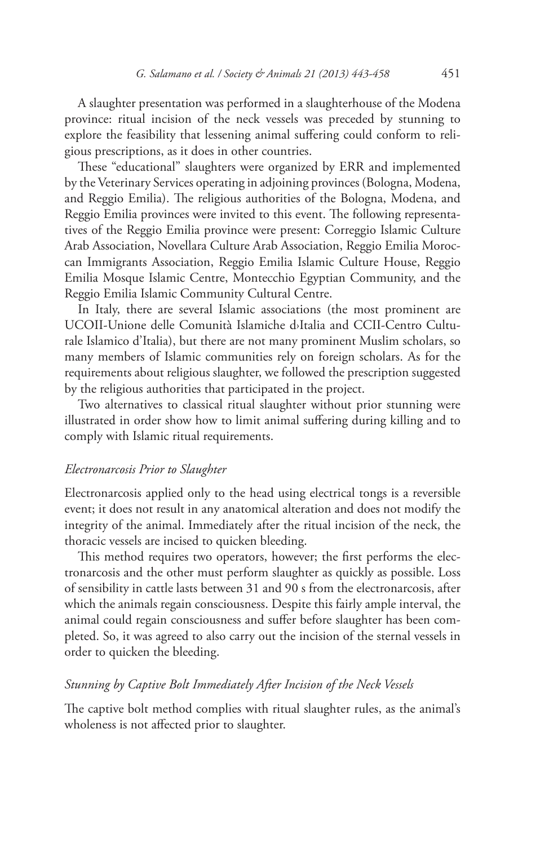A slaughter presentation was performed in a slaughterhouse of the Modena province: ritual incision of the neck vessels was preceded by stunning to explore the feasibility that lessening animal suffering could conform to religious prescriptions, as it does in other countries.

These "educational" slaughters were organized by ERR and implemented by the Veterinary Services operating in adjoining provinces (Bologna, Modena, and Reggio Emilia). The religious authorities of the Bologna, Modena, and Reggio Emilia provinces were invited to this event. The following representatives of the Reggio Emilia province were present: Correggio Islamic Culture Arab Association, Novellara Culture Arab Association, Reggio Emilia Moroccan Immigrants Association, Reggio Emilia Islamic Culture House, Reggio Emilia Mosque Islamic Centre, Montecchio Egyptian Community, and the Reggio Emilia Islamic Community Cultural Centre.

In Italy, there are several Islamic associations (the most prominent are UCOII-Unione delle Comunità Islamiche d'Italia and CCII-Centro Culturale Islamico d'Italia), but there are not many prominent Muslim scholars, so many members of Islamic communities rely on foreign scholars. As for the requirements about religious slaughter, we followed the prescription suggested by the religious authorities that participated in the project.

Two alternatives to classical ritual slaughter without prior stunning were illustrated in order show how to limit animal suffering during killing and to comply with Islamic ritual requirements.

## *Electronarcosis Prior to Slaughter*

Electronarcosis applied only to the head using electrical tongs is a reversible event; it does not result in any anatomical alteration and does not modify the integrity of the animal. Immediately after the ritual incision of the neck, the thoracic vessels are incised to quicken bleeding.

This method requires two operators, however; the first performs the electronarcosis and the other must perform slaughter as quickly as possible. Loss of sensibility in cattle lasts between 31 and 90 s from the electronarcosis, after which the animals regain consciousness. Despite this fairly ample interval, the animal could regain consciousness and suffer before slaughter has been completed. So, it was agreed to also carry out the incision of the sternal vessels in order to quicken the bleeding.

## *Stunning by Captive Bolt Immediately After Incision of the Neck Vessels*

The captive bolt method complies with ritual slaughter rules, as the animal's wholeness is not affected prior to slaughter.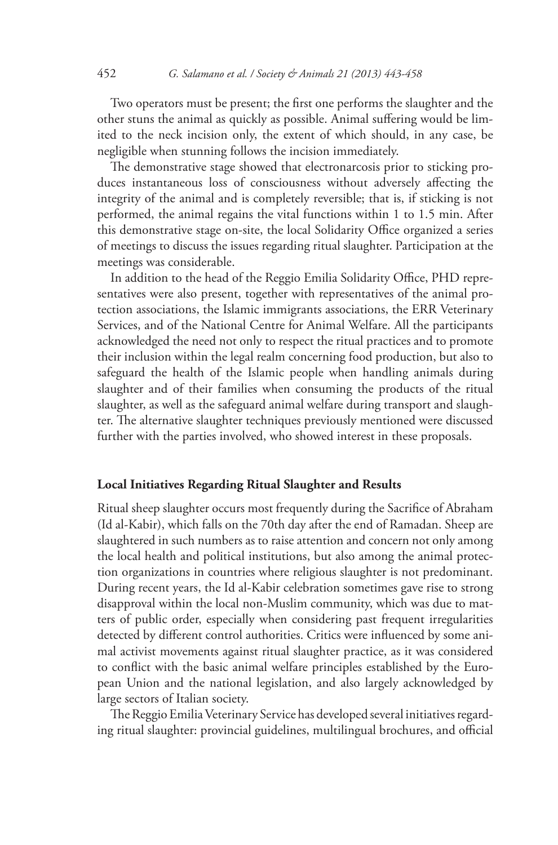Two operators must be present; the first one performs the slaughter and the other stuns the animal as quickly as possible. Animal suffering would be limited to the neck incision only, the extent of which should, in any case, be negligible when stunning follows the incision immediately.

The demonstrative stage showed that electronarcosis prior to sticking produces instantaneous loss of consciousness without adversely affecting the integrity of the animal and is completely reversible; that is, if sticking is not performed, the animal regains the vital functions within 1 to 1.5 min. After this demonstrative stage on-site, the local Solidarity Office organized a series of meetings to discuss the issues regarding ritual slaughter. Participation at the meetings was considerable.

In addition to the head of the Reggio Emilia Solidarity Office, PHD representatives were also present, together with representatives of the animal protection associations, the Islamic immigrants associations, the ERR Veterinary Services, and of the National Centre for Animal Welfare. All the participants acknowledged the need not only to respect the ritual practices and to promote their inclusion within the legal realm concerning food production, but also to safeguard the health of the Islamic people when handling animals during slaughter and of their families when consuming the products of the ritual slaughter, as well as the safeguard animal welfare during transport and slaughter. The alternative slaughter techniques previously mentioned were discussed further with the parties involved, who showed interest in these proposals.

#### **Local Initiatives Regarding Ritual Slaughter and Results**

Ritual sheep slaughter occurs most frequently during the Sacrifice of Abraham (Id al-Kabir), which falls on the 70th day after the end of Ramadan. Sheep are slaughtered in such numbers as to raise attention and concern not only among the local health and political institutions, but also among the animal protection organizations in countries where religious slaughter is not predominant. During recent years, the Id al-Kabir celebration sometimes gave rise to strong disapproval within the local non-Muslim community, which was due to matters of public order, especially when considering past frequent irregularities detected by different control authorities. Critics were influenced by some animal activist movements against ritual slaughter practice, as it was considered to conflict with the basic animal welfare principles established by the European Union and the national legislation, and also largely acknowledged by large sectors of Italian society.

The Reggio Emilia Veterinary Service has developed several initiatives regarding ritual slaughter: provincial guidelines, multilingual brochures, and official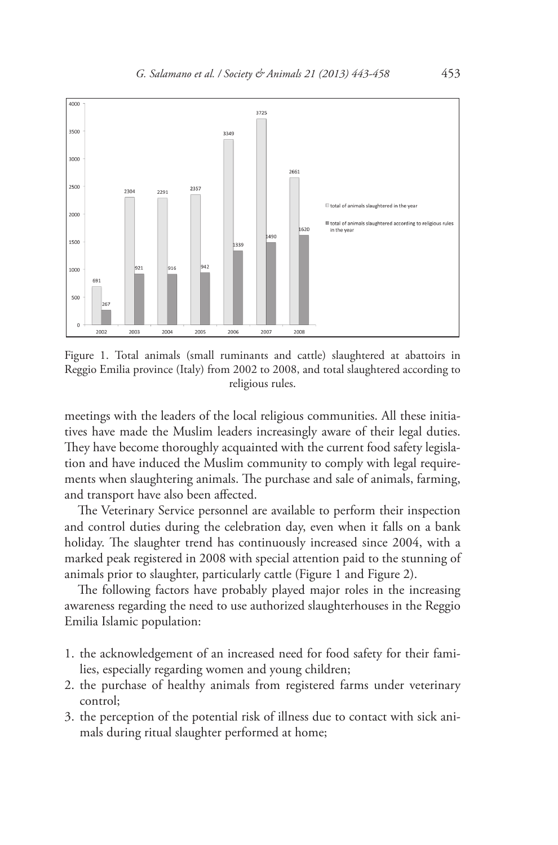

Figure 1. Total animals (small ruminants and cattle) slaughtered at abattoirs in Reggio Emilia province (Italy) from 2002 to 2008, and total slaughtered according to religious rules.

meetings with the leaders of the local religious communities. All these initiatives have made the Muslim leaders increasingly aware of their legal duties. They have become thoroughly acquainted with the current food safety legislation and have induced the Muslim community to comply with legal requirements when slaughtering animals. The purchase and sale of animals, farming, and transport have also been affected.

The Veterinary Service personnel are available to perform their inspection and control duties during the celebration day, even when it falls on a bank holiday. The slaughter trend has continuously increased since 2004, with a marked peak registered in 2008 with special attention paid to the stunning of animals prior to slaughter, particularly cattle (Figure 1 and Figure 2).

The following factors have probably played major roles in the increasing awareness regarding the need to use authorized slaughterhouses in the Reggio Emilia Islamic population:

- 1. the acknowledgement of an increased need for food safety for their families, especially regarding women and young children;
- 2. the purchase of healthy animals from registered farms under veterinary control;
- 3. the perception of the potential risk of illness due to contact with sick animals during ritual slaughter performed at home;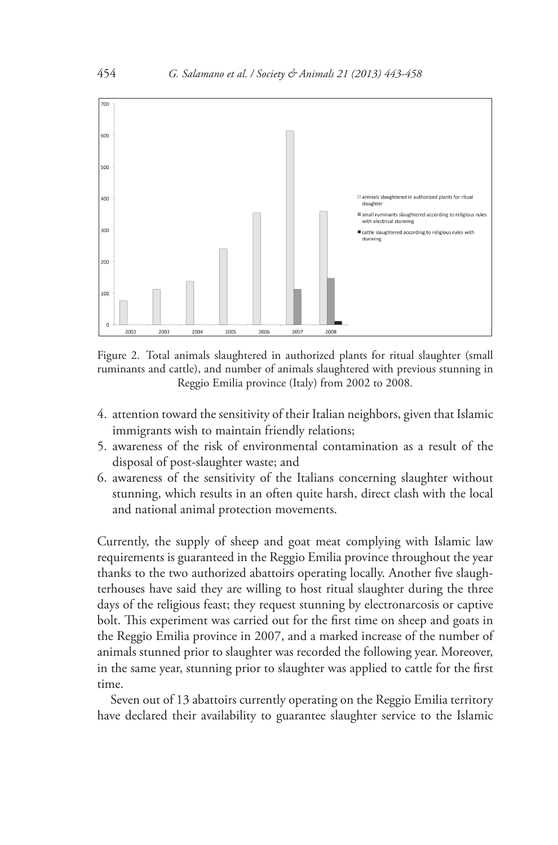

Figure 2. Total animals slaughtered in authorized plants for ritual slaughter (small ruminants and cattle), and number of animals slaughtered with previous stunning in Reggio Emilia province (Italy) from 2002 to 2008.

- 4. attention toward the sensitivity of their Italian neighbors, given that Islamic immigrants wish to maintain friendly relations;
- 5. awareness of the risk of environmental contamination as a result of the disposal of post-slaughter waste; and
- 6. awareness of the sensitivity of the Italians concerning slaughter without stunning, which results in an often quite harsh, direct clash with the local and national animal protection movements.

Currently, the supply of sheep and goat meat complying with Islamic law requirements is guaranteed in the Reggio Emilia province throughout the year thanks to the two authorized abattoirs operating locally. Another five slaughterhouses have said they are willing to host ritual slaughter during the three days of the religious feast; they request stunning by electronarcosis or captive bolt. This experiment was carried out for the first time on sheep and goats in the Reggio Emilia province in 2007, and a marked increase of the number of animals stunned prior to slaughter was recorded the following year. Moreover, in the same year, stunning prior to slaughter was applied to cattle for the first time.

Seven out of 13 abattoirs currently operating on the Reggio Emilia territory have declared their availability to guarantee slaughter service to the Islamic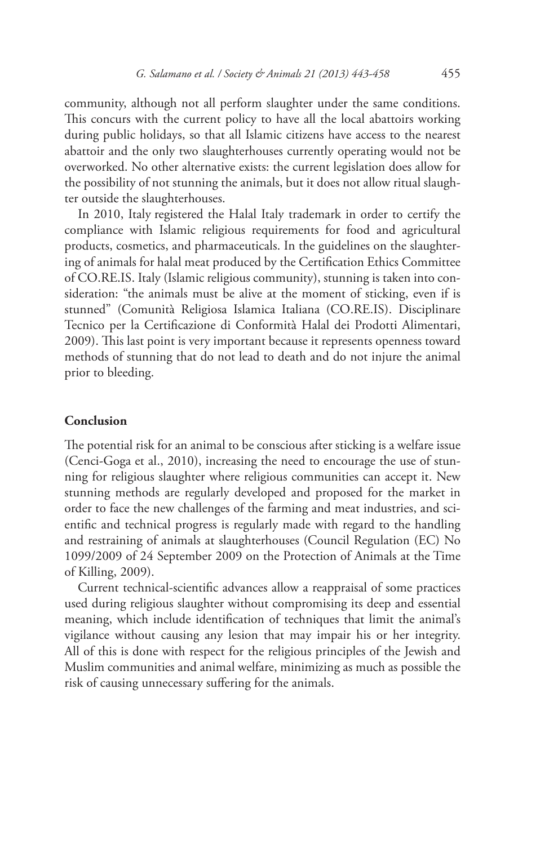community, although not all perform slaughter under the same conditions. This concurs with the current policy to have all the local abattoirs working during public holidays, so that all Islamic citizens have access to the nearest abattoir and the only two slaughterhouses currently operating would not be overworked. No other alternative exists: the current legislation does allow for the possibility of not stunning the animals, but it does not allow ritual slaughter outside the slaughterhouses.

In 2010, Italy registered the Halal Italy trademark in order to certify the compliance with Islamic religious requirements for food and agricultural products, cosmetics, and pharmaceuticals. In the guidelines on the slaughtering of animals for halal meat produced by the Certification Ethics Committee of CO.RE.IS. Italy (Islamic religious community), stunning is taken into consideration: "the animals must be alive at the moment of sticking, even if is stunned" (Comunità Religiosa Islamica Italiana (CO.RE.IS). Disciplinare Tecnico per la Certificazione di Conformità Halal dei Prodotti Alimentari, 2009). This last point is very important because it represents openness toward methods of stunning that do not lead to death and do not injure the animal prior to bleeding.

# **Conclusion**

The potential risk for an animal to be conscious after sticking is a welfare issue (Cenci-Goga et al., 2010), increasing the need to encourage the use of stunning for religious slaughter where religious communities can accept it. New stunning methods are regularly developed and proposed for the market in order to face the new challenges of the farming and meat industries, and scientific and technical progress is regularly made with regard to the handling and restraining of animals at slaughterhouses (Council Regulation (EC) No 1099/2009 of 24 September 2009 on the Protection of Animals at the Time of Killing, 2009).

Current technical-scientific advances allow a reappraisal of some practices used during religious slaughter without compromising its deep and essential meaning, which include identification of techniques that limit the animal's vigilance without causing any lesion that may impair his or her integrity. All of this is done with respect for the religious principles of the Jewish and Muslim communities and animal welfare, minimizing as much as possible the risk of causing unnecessary suffering for the animals.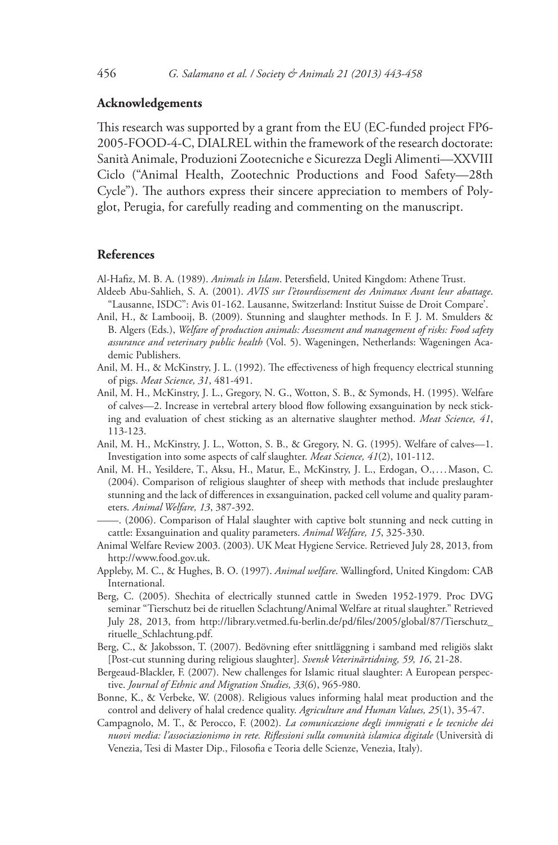#### **Acknowledgements**

This research was supported by a grant from the EU (EC-funded project FP6- 2005-FOOD-4-C, DIALREL within the framework of the research doctorate: Sanità Animale, Produzioni Zootecniche e Sicurezza Degli Alimenti—XXVIII Ciclo ("Animal Health, Zootechnic Productions and Food Safety—28th Cycle"). The authors express their sincere appreciation to members of Polyglot, Perugia, for carefully reading and commenting on the manuscript.

## **References**

Al-Hafiz, M. B. A. (1989). *Animals in Islam*. Petersfield, United Kingdom: Athene Trust.

- Aldeeb Abu-Sahlieh, S. A. (2001). *AVIS sur l'ètourdissement des Animaux Avant leur abattage*. "Lausanne, ISDC": Avis 01-162. Lausanne, Switzerland: Institut Suisse de Droit Compare'.
- Anil, H., & Lambooij, B. (2009). Stunning and slaughter methods. In F. J. M. Smulders & B. Algers (Eds.), *Welfare of production animals: Assessment and management of risks: Food safety assurance and veterinary public health* (Vol. 5). Wageningen, Netherlands: Wageningen Academic Publishers.
- Anil, M. H., & McKinstry, J. L. (1992). The effectiveness of high frequency electrical stunning of pigs. *Meat Science, 31*, 481-491.
- Anil, M. H., McKinstry, J. L., Gregory, N. G., Wotton, S. B., & Symonds, H. (1995). Welfare of calves—2. Increase in vertebral artery blood flow following exsanguination by neck sticking and evaluation of chest sticking as an alternative slaughter method. *Meat Science, 41*, 113-123.
- Anil, M. H., McKinstry, J. L., Wotton, S. B., & Gregory, N. G. (1995). Welfare of calves—1. Investigation into some aspects of calf slaughter. *Meat Science, 41*(2), 101-112.
- Anil, M. H., Yesildere, T., Aksu, H., Matur, E., McKinstry, J. L., Erdogan, O.,...Mason, C. (2004). Comparison of religious slaughter of sheep with methods that include preslaughter stunning and the lack of differences in exsanguination, packed cell volume and quality parameters. *Animal Welfare, 13*, 387-392.
- ——. (2006). Comparison of Halal slaughter with captive bolt stunning and neck cutting in cattle: Exsanguination and quality parameters. *Animal Welfare, 15*, 325-330.
- Animal Welfare Review 2003. (2003). UK Meat Hygiene Service. Retrieved July 28, 2013, from http://www.food.gov.uk.
- Appleby, M. C., & Hughes, B. O. (1997). *Animal welfare*. Wallingford, United Kingdom: CAB International.
- Berg, C. (2005). Shechita of electrically stunned cattle in Sweden 1952-1979. Proc DVG seminar "Tierschutz bei de rituellen Sclachtung/Animal Welfare at ritual slaughter." Retrieved July 28, 2013, from http://library.vetmed.fu-berlin.de/pd/files/2005/global/87/Tierschutz\_ rituelle\_Schlachtung.pdf.
- Berg, C., & Jakobsson, T. (2007). Bedövning efter snittläggning i samband med religiös slakt [Post-cut stunning during religious slaughter]. *Svensk Veterinärtidning, 59, 16*, 21-28.
- Bergeaud-Blackler, F. (2007). New challenges for Islamic ritual slaughter: A European perspective. *Journal of Ethnic and Migration Studies, 33*(6), 965-980.
- Bonne, K., & Verbeke, W. (2008). Religious values informing halal meat production and the control and delivery of halal credence quality. *Agriculture and Human Values, 25*(1), 35-47.
- Campagnolo, M. T., & Perocco, F. (2002). *La comunicazione degli immigrati e le tecniche dei nuovi media: l'associazionismo in rete. Riflessioni sulla comunità islamica digitale* (Università di Venezia, Tesi di Master Dip., Filosofia e Teoria delle Scienze, Venezia, Italy).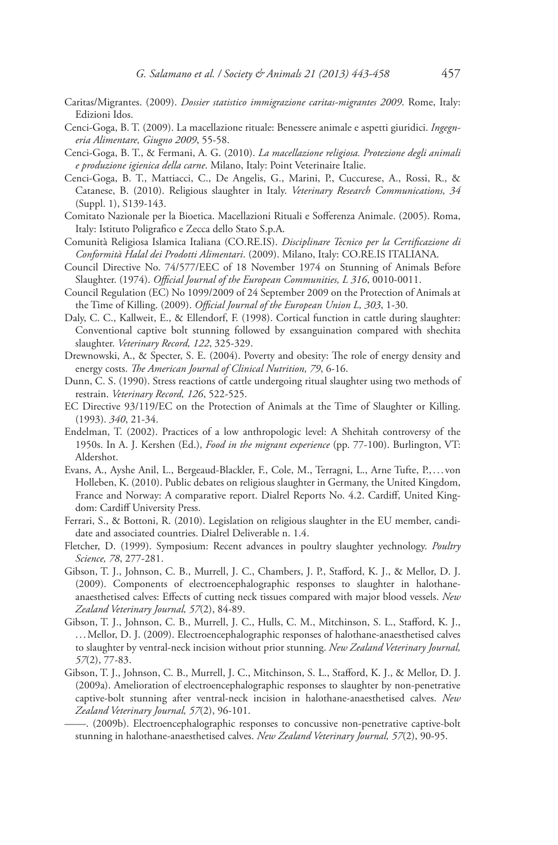- Caritas/Migrantes. (2009). *Dossier statistico immigrazione caritas-migrantes 2009*. Rome, Italy: Edizioni Idos.
- Cenci-Goga, B. T. (2009). La macellazione rituale: Benessere animale e aspetti giuridici. *Ingegneria Alimentare, Giugno 2009*, 55-58.
- Cenci-Goga, B. T., & Fermani, A. G. (2010). *La macellazione religiosa. Protezione degli animali e produzione igienica della carne*. Milano, Italy: Point Veterinaire Italie.
- Cenci-Goga, B. T., Mattiacci, C., De Angelis, G., Marini, P., Cuccurese, A., Rossi, R., & Catanese, B. (2010). Religious slaughter in Italy. *Veterinary Research Communications, 34*  (Suppl. 1), S139-143.
- Comitato Nazionale per la Bioetica. Macellazioni Rituali e Sofferenza Animale. (2005). Roma, Italy: Istituto Poligrafico e Zecca dello Stato S.p.A.
- Comunità Religiosa Islamica Italiana (CO.RE.IS). *Disciplinare Tecnico per la Certificazione di Conformità Halal dei Prodotti Alimentari*. (2009). Milano, Italy: CO.RE.IS ITALIANA.
- Council Directive No. 74/577/EEC of 18 November 1974 on Stunning of Animals Before Slaughter. (1974). *Official Journal of the European Communities, L 316*, 0010-0011.
- Council Regulation (EC) No 1099/2009 of 24 September 2009 on the Protection of Animals at the Time of Killing. (2009). *Official Journal of the European Union L, 303*, 1-30*.*
- Daly, C. C., Kallweit, E., & Ellendorf, F. (1998). Cortical function in cattle during slaughter: Conventional captive bolt stunning followed by exsanguination compared with shechita slaughter. *Veterinary Record, 122*, 325-329.
- Drewnowski, A., & Specter, S. E. (2004). Poverty and obesity: The role of energy density and energy costs. *The American Journal of Clinical Nutrition, 79*, 6-16.
- Dunn, C. S. (1990). Stress reactions of cattle undergoing ritual slaughter using two methods of restrain. *Veterinary Record, 126*, 522-525.
- EC Directive 93/119/EC on the Protection of Animals at the Time of Slaughter or Killing. (1993). *340*, 21-34.
- Endelman, T. (2002). Practices of a low anthropologic level: A Shehitah controversy of the 1950s. In A. J. Kershen (Ed.), *Food in the migrant experience* (pp. 77-100). Burlington, VT: Aldershot.
- Evans, A., Ayshe Anil, L., Bergeaud-Blackler, F., Cole, M., Terragni, L., Arne Tufte, P.,... von Holleben, K. (2010). Public debates on religious slaughter in Germany, the United Kingdom, France and Norway: A comparative report. Dialrel Reports No. 4.2. Cardiff, United Kingdom: Cardiff University Press.
- Ferrari, S., & Bottoni, R. (2010). Legislation on religious slaughter in the EU member, candidate and associated countries. Dialrel Deliverable n. 1.4.
- Fletcher, D. (1999). Symposium: Recent advances in poultry slaughter yechnology. *Poultry Science, 78*, 277-281.
- Gibson, T. J., Johnson, C. B., Murrell, J. C., Chambers, J. P., Stafford, K. J., & Mellor, D. J. (2009). Components of electroencephalographic responses to slaughter in halothaneanaesthetised calves: Effects of cutting neck tissues compared with major blood vessels. *New Zealand Veterinary Journal, 57*(2), 84-89.
- Gibson, T. J., Johnson, C. B., Murrell, J. C., Hulls, C. M., Mitchinson, S. L., Stafford, K. J., ...Mellor, D. J. (2009). Electroencephalographic responses of halothane-anaesthetised calves to slaughter by ventral-neck incision without prior stunning. *New Zealand Veterinary Journal, 57*(2), 77-83.
- Gibson, T. J., Johnson, C. B., Murrell, J. C., Mitchinson, S. L., Stafford, K. J., & Mellor, D. J. (2009a). Amelioration of electroencephalographic responses to slaughter by non-penetrative captive-bolt stunning after ventral-neck incision in halothane-anaesthetised calves. *New Zealand Veterinary Journal, 57*(2), 96-101.
- ——. (2009b). Electroencephalographic responses to concussive non-penetrative captive-bolt stunning in halothane-anaesthetised calves. *New Zealand Veterinary Journal, 57*(2), 90-95.